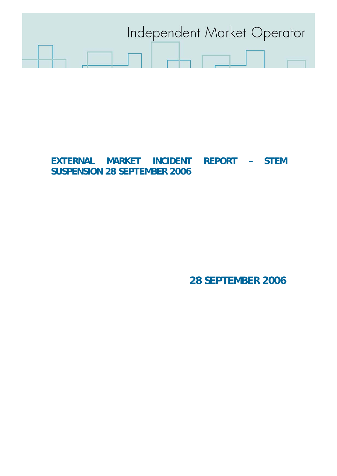

# **EXTERNAL MARKET INCIDENT REPORT – STEM SUSPENSION 28 SEPTEMBER 2006**

**28 SEPTEMBER 2006**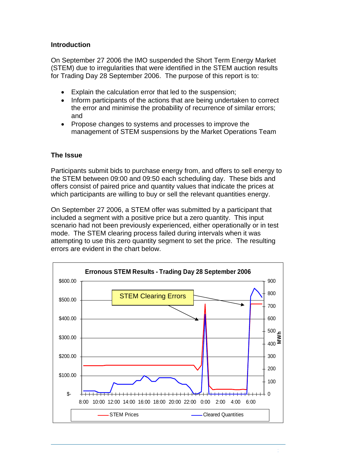### **Introduction**

On September 27 2006 the IMO suspended the Short Term Energy Market (STEM) due to irregularities that were identified in the STEM auction results for Trading Day 28 September 2006. The purpose of this report is to:

- Explain the calculation error that led to the suspension:
- Inform participants of the actions that are being undertaken to correct the error and minimise the probability of recurrence of similar errors; and
- Propose changes to systems and processes to improve the management of STEM suspensions by the Market Operations Team

## **The Issue**

Participants submit bids to purchase energy from, and offers to sell energy to the STEM between 09:00 and 09:50 each scheduling day. These bids and offers consist of paired price and quantity values that indicate the prices at which participants are willing to buy or sell the relevant quantities energy.

On September 27 2006, a STEM offer was submitted by a participant that included a segment with a positive price but a zero quantity. This input scenario had not been previously experienced, either operationally or in test mode. The STEM clearing process failed during intervals when it was attempting to use this zero quantity segment to set the price. The resulting errors are evident in the chart below.

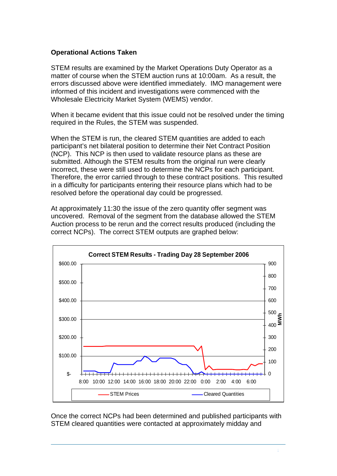#### **Operational Actions Taken**

STEM results are examined by the Market Operations Duty Operator as a matter of course when the STEM auction runs at 10:00am. As a result, the errors discussed above were identified immediately. IMO management were informed of this incident and investigations were commenced with the Wholesale Electricity Market System (WEMS) vendor.

When it became evident that this issue could not be resolved under the timing required in the Rules, the STEM was suspended.

When the STEM is run, the cleared STEM quantities are added to each participant's net bilateral position to determine their Net Contract Position (NCP). This NCP is then used to validate resource plans as these are submitted. Although the STEM results from the original run were clearly incorrect, these were still used to determine the NCPs for each participant. Therefore, the error carried through to these contract positions. This resulted in a difficulty for participants entering their resource plans which had to be resolved before the operational day could be progressed.

At approximately 11:30 the issue of the zero quantity offer segment was uncovered. Removal of the segment from the database allowed the STEM Auction process to be rerun and the correct results produced (including the correct NCPs). The correct STEM outputs are graphed below:



Once the correct NCPs had been determined and published participants with STEM cleared quantities were contacted at approximately midday and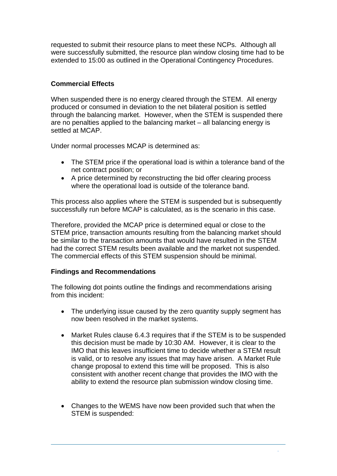requested to submit their resource plans to meet these NCPs. Although all were successfully submitted, the resource plan window closing time had to be extended to 15:00 as outlined in the Operational Contingency Procedures.

# **Commercial Effects**

When suspended there is no energy cleared through the STEM. All energy produced or consumed in deviation to the net bilateral position is settled through the balancing market. However, when the STEM is suspended there are no penalties applied to the balancing market – all balancing energy is settled at MCAP.

Under normal processes MCAP is determined as:

- The STEM price if the operational load is within a tolerance band of the net contract position; or
- A price determined by reconstructing the bid offer clearing process where the operational load is outside of the tolerance band.

This process also applies where the STEM is suspended but is subsequently successfully run before MCAP is calculated, as is the scenario in this case.

Therefore, provided the MCAP price is determined equal or close to the STEM price, transaction amounts resulting from the balancing market should be similar to the transaction amounts that would have resulted in the STEM had the correct STEM results been available and the market not suspended. The commercial effects of this STEM suspension should be minimal.

#### **Findings and Recommendations**

The following dot points outline the findings and recommendations arising from this incident:

- The underlying issue caused by the zero quantity supply segment has now been resolved in the market systems.
- Market Rules clause 6.4.3 requires that if the STEM is to be suspended this decision must be made by 10:30 AM. However, it is clear to the IMO that this leaves insufficient time to decide whether a STEM result is valid, or to resolve any issues that may have arisen. A Market Rule change proposal to extend this time will be proposed. This is also consistent with another recent change that provides the IMO with the ability to extend the resource plan submission window closing time.
- Changes to the WEMS have now been provided such that when the STEM is suspended: